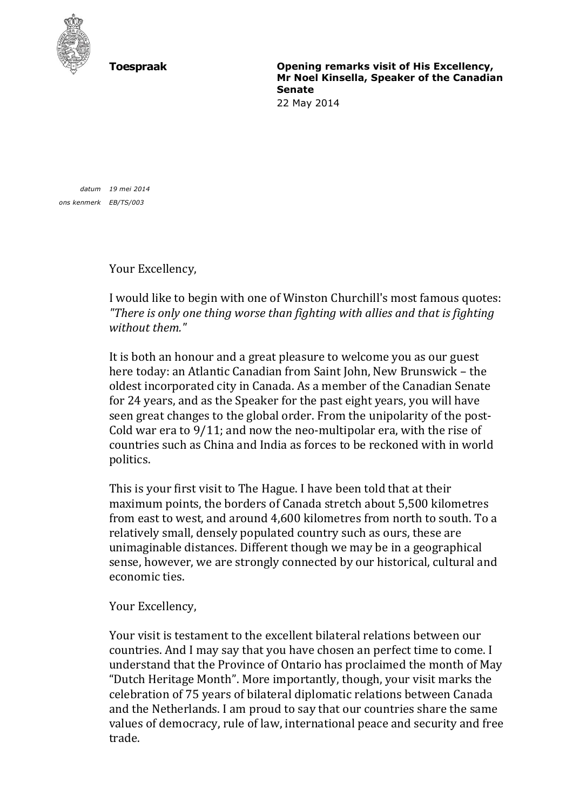

**Toespraak Opening remarks visit of His Excellency, Mr Noel Kinsella, Speaker of the Canadian Senate**

22 May 2014

*datum 19 mei 2014 ons kenmerk EB/TS/003*

Your Excellency,

I would like to begin with one of Winston Churchill's most famous quotes: *"There is only one thing worse than fighting with allies and that is fighting without them."*

It is both an honour and a great pleasure to welcome you as our guest here today: an Atlantic Canadian from Saint John, New Brunswick – the oldest incorporated city in Canada. As a member of the Canadian Senate for 24 years, and as the Speaker for the past eight years, you will have seen great changes to the global order. From the unipolarity of the post-Cold war era to 9/11; and now the neo-multipolar era, with the rise of countries such as China and India as forces to be reckoned with in world politics.

This is your first visit to The Hague. I have been told that at their maximum points, the borders of Canada stretch about 5,500 kilometres from east to west, and around 4,600 kilometres from north to south. To a relatively small, densely populated country such as ours, these are unimaginable distances. Different though we may be in a geographical sense, however, we are strongly connected by our historical, cultural and economic ties.

Your Excellency,

Your visit is testament to the excellent bilateral relations between our countries. And I may say that you have chosen an perfect time to come. I understand that the Province of Ontario has proclaimed the month of May "Dutch Heritage Month". More importantly, though, your visit marks the celebration of 75 years of bilateral diplomatic relations between Canada and the Netherlands. I am proud to say that our countries share the same values of democracy, rule of law, international peace and security and free trade.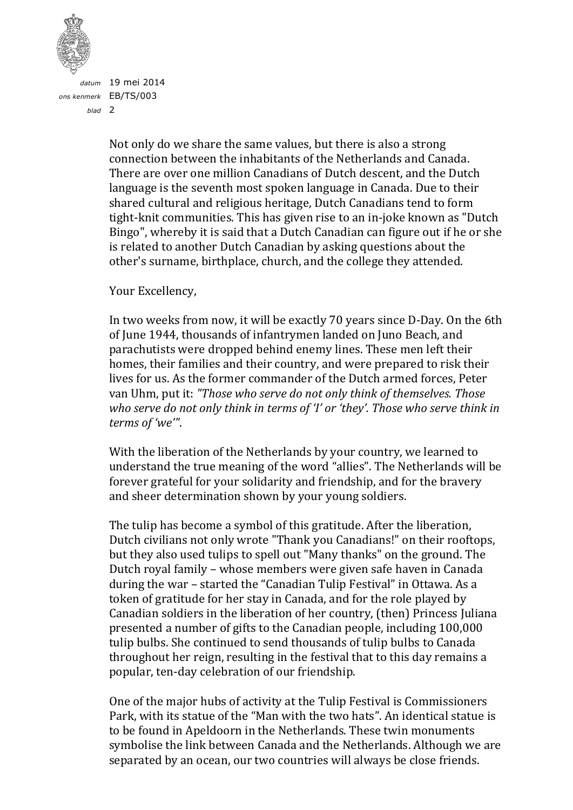

*datum* 19 mei 2014 *ons kenmerk* EB/TS/003 *blad* 2

> Not only do we share the same values, but there is also a strong connection between the inhabitants of the Netherlands and Canada. There are over one million [Canadians of Dutch descent,](http://en.wikipedia.org/wiki/Canadians_of_Dutch_descent) and the [Dutch](http://en.wikipedia.org/wiki/Dutch_Language)  [language](http://en.wikipedia.org/wiki/Dutch_Language) is the seventh most spoken language in Canada. Due to their shared cultural and religious heritage, Dutch Canadians tend to form tight-knit communities. This has given rise to an in-joke known as ["Dutch](http://en.wikipedia.org/w/index.php?title=Dutch_Bingo&action=edit&redlink=1)  [Bingo"](http://en.wikipedia.org/w/index.php?title=Dutch_Bingo&action=edit&redlink=1), whereby it is said that a Dutch Canadian can figure out if he or she is related to another Dutch Canadian by asking questions about the other's surname, birthplace, church, and the college they attended.

Your Excellency,

In two weeks from now, it will be exactly 70 years since D-Day. On the 6th of June 1944, thousands of infantrymen landed on Juno Beach, and parachutists were dropped behind enemy lines. These men left their homes, their families and their country, and were prepared to risk their lives for us. As the former commander of the Dutch armed forces, Peter van Uhm, put it: *"Those who serve do not only think of themselves. Those who serve do not only think in terms of 'I' or 'they'. Those who serve think in terms of 'we'"*.

With the liberation of the Netherlands by your country, we learned to understand the true meaning of the word "allies". The Netherlands will be forever grateful for your solidarity and friendship, and for the bravery and sheer determination shown by your young soldiers.

The tulip has become a symbol of this gratitude. After the liberation, Dutch civilians not only wrote "Thank you Canadians!" on their rooftops, but they also used tulips to spell out "Many thanks" on the ground. The Dutch royal family – whose members were given safe haven in Canada during the war – started the "Canadian Tulip Festival" in Ottawa. As a token of gratitude for her stay in Canada, and for the role played by Canadian soldiers in the liberation of her country, (then) Princess Juliana presented a number of gifts to the Canadian people, including 100,000 tulip bulbs. She continued to send thousands of tulip bulbs to Canada throughout her reign, resulting in the festival that to this day remains a popular, ten-day celebration of our friendship.

One of the major hubs of activity at the Tulip Festival is Commissioners Park, with its statue of the "Man with the two hats". An identical statue is to be found in Apeldoorn in the Netherlands. These twin monuments symbolise the link between Canada and the Netherlands. Although we are separated by an ocean, our two countries will always be close friends.